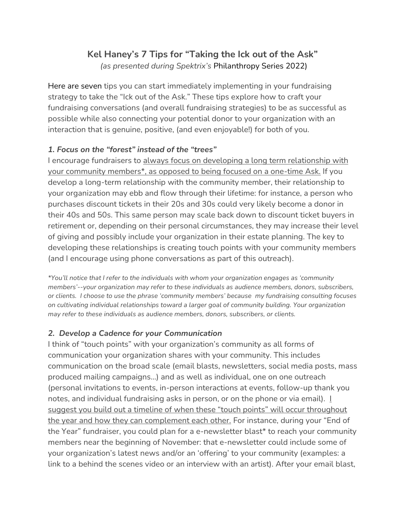# **Kel Haney's 7 Tips for "Taking the Ick out of the Ask"** *(as presented during Spektrix's* Philanthropy Series 2022)

Here are seven tips you can start immediately implementing in your fundraising strategy to take the "Ick out of the Ask." These tips explore how to craft your fundraising conversations (and overall fundraising strategies) to be as successful as possible while also connecting your potential donor to your organization with an interaction that is genuine, positive, (and even enjoyable!) for both of you.

#### *1. Focus on the "forest" instead of the "trees"*

I encourage fundraisers to always focus on developing a long term relationship with your community members\*, as opposed to being focused on a one-time Ask. If you develop a long-term relationship with the community member, their relationship to your organization may ebb and flow through their lifetime: for instance, a person who purchases discount tickets in their 20s and 30s could very likely become a donor in their 40s and 50s. This same person may scale back down to discount ticket buyers in retirement or, depending on their personal circumstances, they may increase their level of giving and possibly include your organization in their estate planning. The key to developing these relationships is creating touch points with your community members (and I encourage using phone conversations as part of this outreach).

*\*You'll notice that I refer to the individuals with whom your organization engages as 'community members'--your organization may refer to these individuals as audience members, donors, subscribers, or clients. I choose to use the phrase 'community members' because my fundraising consulting focuses on cultivating individual relationships toward a larger goal of community building. Your organization may refer to these individuals as audience members, donors, subscribers, or clients.*

## *2. Develop a Cadence for your Communication*

I think of "touch points" with your organization's community as all forms of communication your organization shares with your community. This includes communication on the broad scale (email blasts, newsletters, social media posts, mass produced mailing campaigns…) and as well as individual, one on one outreach (personal invitations to events, in-person interactions at events, follow-up thank you notes, and individual fundraising asks in person, or on the phone or via email). *I* suggest you build out a timeline of when these "touch points" will occur throughout the year and how they can complement each other. For instance, during your "End of the Year" fundraiser, you could plan for a e-newsletter blast\* to reach your community members near the beginning of November: that e-newsletter could include some of your organization's latest news and/or an 'offering' to your community (examples: a link to a behind the scenes video or an interview with an artist). After your email blast,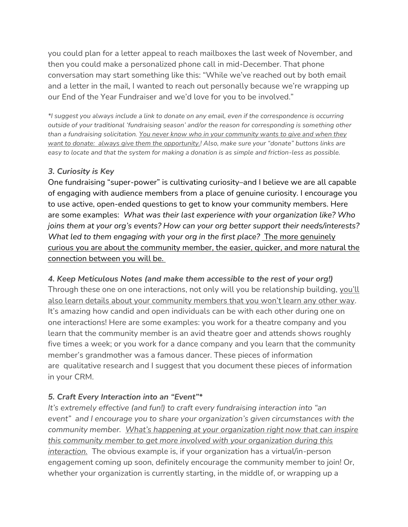you could plan for a letter appeal to reach mailboxes the last week of November, and then you could make a personalized phone call in mid-December. That phone conversation may start something like this: "While we've reached out by both email and a letter in the mail, I wanted to reach out personally because we're wrapping up our End of the Year Fundraiser and we'd love for you to be involved."

*\*I suggest you always include a link to donate on any email, even if the correspondence is occurring outside of your traditional 'fundraising season' and/or the reason for corresponding is something other than a fundraising solicitation. You never know who in your community wants to give and when they want to donate: always give them the opportunity.! Also, make sure your "donate" buttons links are easy to locate and that the system for making a donation is as simple and friction-less as possible.*

### *3. Curiosity is Key*

One fundraising "super-power" is cultivating curiosity–and I believe we are all capable of engaging with audience members from a place of genuine curiosity. I encourage you to use active, open-ended questions to get to know your community members. Here are some examples: *What was their last experience with your organization like? Who joins them at your org's events? How can your org better support their needs/interests? What led to them engaging with your org in the first place?* The more genuinely curious you are about the community member, the easier, quicker, and more natural the connection between you will be.

#### *4. Keep Meticulous Notes (and make them accessible to the rest of your org!)*

Through these one on one interactions, not only will you be relationship building, you'll also learn details about your community members that you won't learn any other way. It's amazing how candid and open individuals can be with each other during one on one interactions! Here are some examples: you work for a theatre company and you learn that the community member is an avid theatre goer and attends shows roughly five times a week; or you work for a dance company and you learn that the community member's grandmother was a famous dancer. These pieces of information are qualitative research and I suggest that you document these pieces of information in your CRM.

## *5. Craft Every Interaction into an "Event"\**

*It's extremely effective (and fun!) to craft every fundraising interaction into "an event" and I encourage you to share your organization's given circumstances with the community member. What's happening at your organization right now that can inspire this community member to get more involved with your organization during this interaction.* The obvious example is, if your organization has a virtual/in-person engagement coming up soon, definitely encourage the community member to join! Or, whether your organization is currently starting, in the middle of, or wrapping up a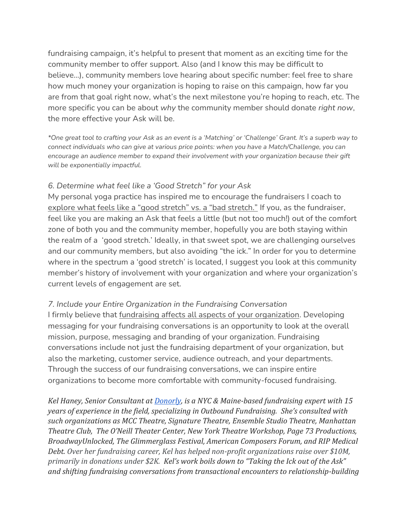fundraising campaign, it's helpful to present that moment as an exciting time for the community member to offer support. Also (and I know this may be difficult to believe…), community members love hearing about specific number: feel free to share how much money your organization is hoping to raise on this campaign, how far you are from that goal right now, what's the next milestone you're hoping to reach, etc. The more specific you can be about *why* the community member should donate *right now*, the more effective your Ask will be.

*\*One great tool to crafting your Ask as an event is a 'Matching' or 'Challenge' Grant. It's a superb way to connect individuals who can give at various price points: when you have a Match/Challenge, you can encourage an audience member to expand their involvement with your organization because their gift will be exponentially impactful.*

#### *6. Determine what feel like a 'Good Stretch" for your Ask*

My personal yoga practice has inspired me to encourage the fundraisers I coach to explore what feels like a "good stretch" vs. a "bad stretch." If you, as the fundraiser, feel like you are making an Ask that feels a little (but not too much!) out of the comfort zone of both you and the community member, hopefully you are both staying within the realm of a 'good stretch.' Ideally, in that sweet spot, we are challenging ourselves and our community members, but also avoiding "the ick." In order for you to determine where in the spectrum a 'good stretch' is located, I suggest you look at this community member's history of involvement with your organization and where your organization's current levels of engagement are set.

#### *7. Include your Entire Organization in the Fundraising Conversation*

I firmly believe that fundraising affects all aspects of your organization. Developing messaging for your fundraising conversations is an opportunity to look at the overall mission, purpose, messaging and branding of your organization. Fundraising conversations include not just the fundraising department of your organization, but also the marketing, customer service, audience outreach, and your departments. Through the success of our fundraising conversations, we can inspire entire organizations to become more comfortable with community-focused fundraising.

*Kel Haney, Senior Consultant at [Donorly,](https://donorly.com/) is a NYC & Maine-based fundraising expert with 15 years of experience in the field, specializing in Outbound Fundraising. She's consulted with such organizations as MCC Theatre, Signature Theatre, Ensemble Studio Theatre, Manhattan Theatre Club, The O'Neill Theater Center, New York Theatre Workshop, Page 73 Productions, BroadwayUnlocked, The Glimmerglass Festival, American Composers Forum, and RIP Medical Debt. Over her fundraising career, Kel has helped non-profit organizations raise over \$10M, primarily in donations under \$2K. Kel's work boils down to "Taking the Ick out of the Ask" and shifting fundraising conversations from transactional encounters to relationship-building*